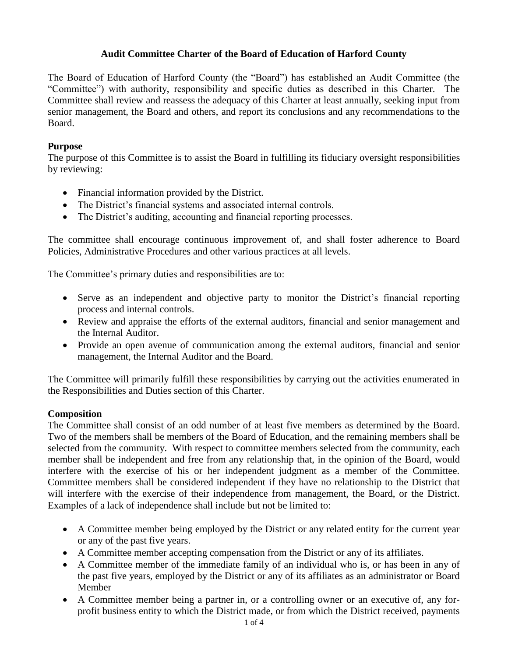The Board of Education of Harford County (the "Board") has established an Audit Committee (the "Committee") with authority, responsibility and specific duties as described in this Charter. The Committee shall review and reassess the adequacy of this Charter at least annually, seeking input from senior management, the Board and others, and report its conclusions and any recommendations to the Board.

#### **Purpose**

The purpose of this Committee is to assist the Board in fulfilling its fiduciary oversight responsibilities by reviewing:

- Financial information provided by the District.
- The District's financial systems and associated internal controls.
- The District's auditing, accounting and financial reporting processes.

The committee shall encourage continuous improvement of, and shall foster adherence to Board Policies, Administrative Procedures and other various practices at all levels.

The Committee's primary duties and responsibilities are to:

- Serve as an independent and objective party to monitor the District's financial reporting process and internal controls.
- Review and appraise the efforts of the external auditors, financial and senior management and the Internal Auditor.
- Provide an open avenue of communication among the external auditors, financial and senior management, the Internal Auditor and the Board.

The Committee will primarily fulfill these responsibilities by carrying out the activities enumerated in the Responsibilities and Duties section of this Charter.

#### **Composition**

The Committee shall consist of an odd number of at least five members as determined by the Board. Two of the members shall be members of the Board of Education, and the remaining members shall be selected from the community. With respect to committee members selected from the community, each member shall be independent and free from any relationship that, in the opinion of the Board, would interfere with the exercise of his or her independent judgment as a member of the Committee. Committee members shall be considered independent if they have no relationship to the District that will interfere with the exercise of their independence from management, the Board, or the District. Examples of a lack of independence shall include but not be limited to:

- A Committee member being employed by the District or any related entity for the current year or any of the past five years.
- A Committee member accepting compensation from the District or any of its affiliates.
- A Committee member of the immediate family of an individual who is, or has been in any of the past five years, employed by the District or any of its affiliates as an administrator or Board Member
- A Committee member being a partner in, or a controlling owner or an executive of, any forprofit business entity to which the District made, or from which the District received, payments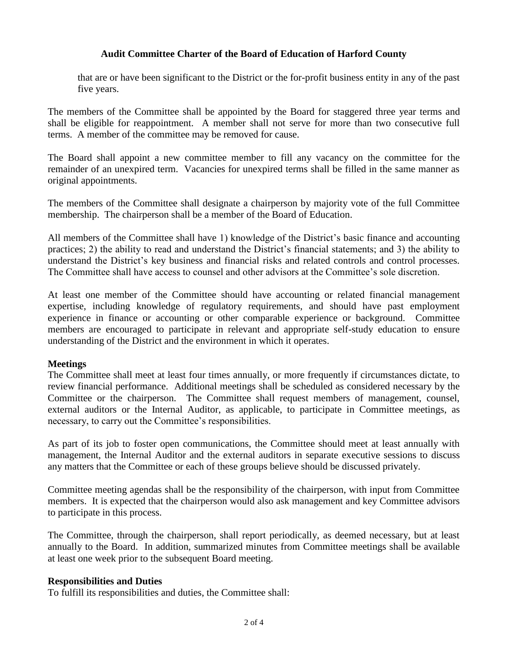that are or have been significant to the District or the for-profit business entity in any of the past five years.

The members of the Committee shall be appointed by the Board for staggered three year terms and shall be eligible for reappointment. A member shall not serve for more than two consecutive full terms. A member of the committee may be removed for cause.

The Board shall appoint a new committee member to fill any vacancy on the committee for the remainder of an unexpired term. Vacancies for unexpired terms shall be filled in the same manner as original appointments.

The members of the Committee shall designate a chairperson by majority vote of the full Committee membership. The chairperson shall be a member of the Board of Education.

All members of the Committee shall have 1) knowledge of the District's basic finance and accounting practices; 2) the ability to read and understand the District's financial statements; and 3) the ability to understand the District's key business and financial risks and related controls and control processes. The Committee shall have access to counsel and other advisors at the Committee's sole discretion.

At least one member of the Committee should have accounting or related financial management expertise, including knowledge of regulatory requirements, and should have past employment experience in finance or accounting or other comparable experience or background. Committee members are encouraged to participate in relevant and appropriate self-study education to ensure understanding of the District and the environment in which it operates.

#### **Meetings**

The Committee shall meet at least four times annually, or more frequently if circumstances dictate, to review financial performance. Additional meetings shall be scheduled as considered necessary by the Committee or the chairperson. The Committee shall request members of management, counsel, external auditors or the Internal Auditor, as applicable, to participate in Committee meetings, as necessary, to carry out the Committee's responsibilities.

As part of its job to foster open communications, the Committee should meet at least annually with management, the Internal Auditor and the external auditors in separate executive sessions to discuss any matters that the Committee or each of these groups believe should be discussed privately.

Committee meeting agendas shall be the responsibility of the chairperson, with input from Committee members. It is expected that the chairperson would also ask management and key Committee advisors to participate in this process.

The Committee, through the chairperson, shall report periodically, as deemed necessary, but at least annually to the Board. In addition, summarized minutes from Committee meetings shall be available at least one week prior to the subsequent Board meeting.

#### **Responsibilities and Duties**

To fulfill its responsibilities and duties, the Committee shall: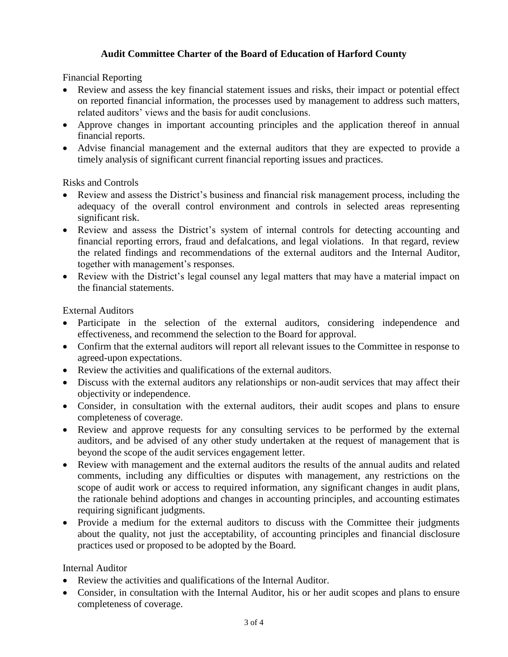Financial Reporting

- Review and assess the key financial statement issues and risks, their impact or potential effect on reported financial information, the processes used by management to address such matters, related auditors' views and the basis for audit conclusions.
- Approve changes in important accounting principles and the application thereof in annual financial reports.
- Advise financial management and the external auditors that they are expected to provide a timely analysis of significant current financial reporting issues and practices.

Risks and Controls

- Review and assess the District's business and financial risk management process, including the adequacy of the overall control environment and controls in selected areas representing significant risk.
- Review and assess the District's system of internal controls for detecting accounting and financial reporting errors, fraud and defalcations, and legal violations. In that regard, review the related findings and recommendations of the external auditors and the Internal Auditor, together with management's responses.
- Review with the District's legal counsel any legal matters that may have a material impact on the financial statements.

External Auditors

- Participate in the selection of the external auditors, considering independence and effectiveness, and recommend the selection to the Board for approval.
- Confirm that the external auditors will report all relevant issues to the Committee in response to agreed-upon expectations.
- Review the activities and qualifications of the external auditors.
- Discuss with the external auditors any relationships or non-audit services that may affect their objectivity or independence.
- Consider, in consultation with the external auditors, their audit scopes and plans to ensure completeness of coverage.
- Review and approve requests for any consulting services to be performed by the external auditors, and be advised of any other study undertaken at the request of management that is beyond the scope of the audit services engagement letter.
- Review with management and the external auditors the results of the annual audits and related comments, including any difficulties or disputes with management, any restrictions on the scope of audit work or access to required information, any significant changes in audit plans, the rationale behind adoptions and changes in accounting principles, and accounting estimates requiring significant judgments.
- Provide a medium for the external auditors to discuss with the Committee their judgments about the quality, not just the acceptability, of accounting principles and financial disclosure practices used or proposed to be adopted by the Board.

Internal Auditor

- Review the activities and qualifications of the Internal Auditor.
- Consider, in consultation with the Internal Auditor, his or her audit scopes and plans to ensure completeness of coverage.